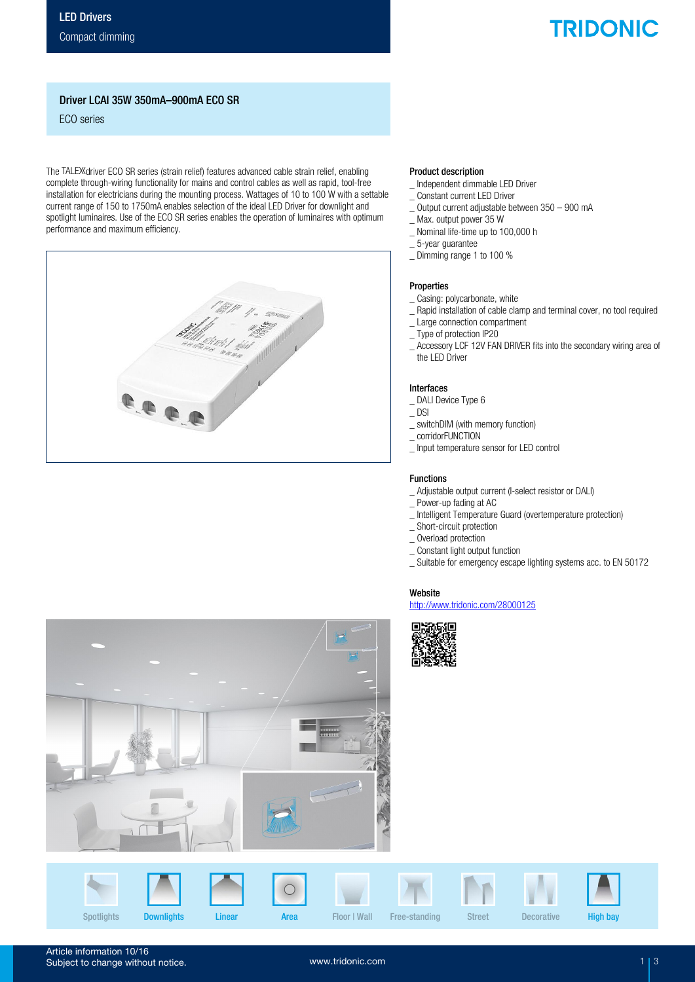# **TRIDONIC**

## Driver LCAI 35W 350mA–900mA ECO SR

ECO series

The TALEX driver ECO SR series (strain relief) features advanced cable strain relief, enabling complete through-wiring functionality for mains and control cables as well as rapid, tool-free installation for electricians during the mounting process. Wattages of 10 to 100 W with a settable current range of 150 to 1750mA enables selection of the ideal LED Driver for downlight and spotlight luminaires. Use of the ECO SR series enables the operation of luminaires with optimum performance and maximum efficiency.

| $\infty$<br>T<br><b>TRIBO</b>       |
|-------------------------------------|
| HALAND<br>77   1878)<br>187 187 187 |
|                                     |
|                                     |

### Product description

- \_ Independent dimmable LED Driver
- \_ Constant current LED Driver
- \_ Output current adjustable between 350 900 mA
- \_ Max. output power 35 W
- \_ Nominal life-time up to 100,000 h
- \_ 5-year guarantee
- \_ Dimming range 1 to 100 %

### Properties

- \_ Casing: polycarbonate, white
- \_ Rapid installation of cable clamp and terminal cover, no tool required
- \_ Large connection compartment
- \_ Type of protection IP20
- \_ Accessory LCF 12V FAN DRIVER fits into the secondary wiring area of the LED Driver

#### Interfaces

- \_ DALI Device Type 6
- $\_$  DSI
- \_ switchDIM (with memory function)
- \_ corridorFUNCTION
- \_ Input temperature sensor for LED control

### Functions

- \_ Adjustable output current (I-select resistor or DALI)
- \_ Power-up fading at AC
- \_ Intelligent Temperature Guard (overtemperature protection)
- \_ Short-circuit protection
- \_ Overload protection
- \_ Constant light output function
- \_ Suitable for emergency escape lighting systems acc. to EN 50172

## Website

http://www.tridonic.com/28000125







Article information 10/16 Subject to change without notice.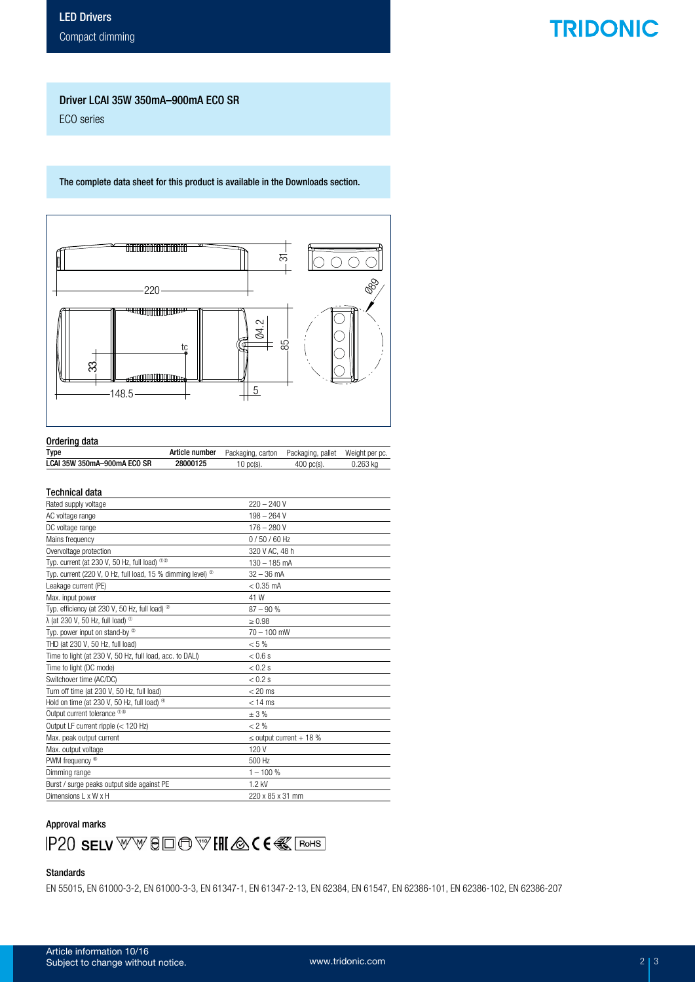## **TRIDONIC**

### Driver LCAI 35W 350mA–900mA ECO SR

ECO series

The complete data sheet for this product is available in the Downloads section.



## Ordering data

| <b>Type</b>                 |          | <b>Article number</b> Packaging, carton Packaging, pallet Weight per pc. |              |          |
|-----------------------------|----------|--------------------------------------------------------------------------|--------------|----------|
| LCAI 35W 350mA-900mA ECO SR | 28000125 | 10 pc(s).                                                                | $400$ pc(s). | 0.263 ka |

### Technical data

| Rated supply voltage                                                     | $220 - 240V$                 |
|--------------------------------------------------------------------------|------------------------------|
| AC voltage range                                                         | $198 - 264V$                 |
| DC voltage range                                                         | $176 - 280V$                 |
| Mains frequency                                                          | $0/50/60$ Hz                 |
| Overvoltage protection                                                   | 320 V AC, 48 h               |
| Typ. current (at 230 V, 50 Hz, full load) $0\%$                          | $130 - 185$ mA               |
| Typ. current (220 V, 0 Hz, full load, 15 % dimming level) $^{\circledR}$ | $32 - 36$ mA                 |
| Leakage current (PE)                                                     | $< 0.35$ mA                  |
| Max. input power                                                         | 41 W                         |
| Typ. efficiency (at 230 V, 50 Hz, full load) <sup>20</sup>               | $87 - 90%$                   |
| $\lambda$ (at 230 V, 50 Hz, full load) $^{\circledR}$                    | > 0.98                       |
| Typ. power input on stand-by <sup>33</sup>                               | $70 - 100$ mW                |
| THD (at 230 V, 50 Hz, full load)                                         | $< 5 \%$                     |
| Time to light (at 230 V, 50 Hz, full load, acc. to DALI)                 | $< 0.6$ s                    |
| Time to light (DC mode)                                                  | $< 0.2$ s                    |
| Switchover time (AC/DC)                                                  | $< 0.2$ s                    |
| Turn off time (at 230 V, 50 Hz, full load)                               | $< 20$ ms                    |
| Hold on time (at 230 V, 50 Hz, full load) <sup>40</sup>                  | $< 14$ ms                    |
| Output current tolerance <sup>10</sup>                                   | ±3%                          |
| Output LF current ripple (< 120 Hz)                                      | $< 2 \%$                     |
| Max. peak output current                                                 | $\leq$ output current + 18 % |
| Max. output voltage                                                      | 120 V                        |
| PWM frequency ®                                                          | 500 Hz                       |
| Dimming range                                                            | $1 - 100 %$                  |
| Burst / surge peaks output side against PE                               | 1.2 kV                       |
| Dimensions L x W x H                                                     | 220 x 85 x 31 mm             |

### Approval marks



### Standards

EN 55015, EN 61000-3-2, EN 61000-3-3, EN 61347-1, EN 61347-2-13, EN 62384, EN 61547, EN 62386-101, EN 62386-102, EN 62386-207